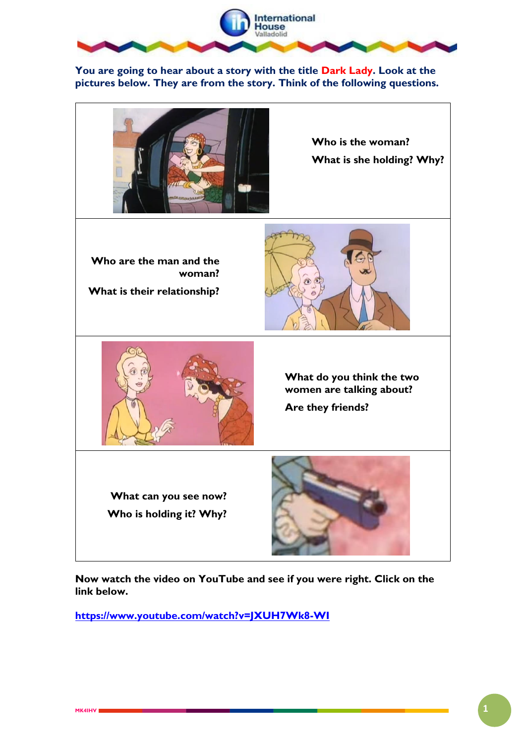

**You are going to hear about a story with the title Dark Lady. Look at the pictures below. They are from the story. Think of the following questions.**



**Now watch the video on YouTube and see if you were right. Click on the link below.**

**<https://www.youtube.com/watch?v=JXUH7Wk8-WI>**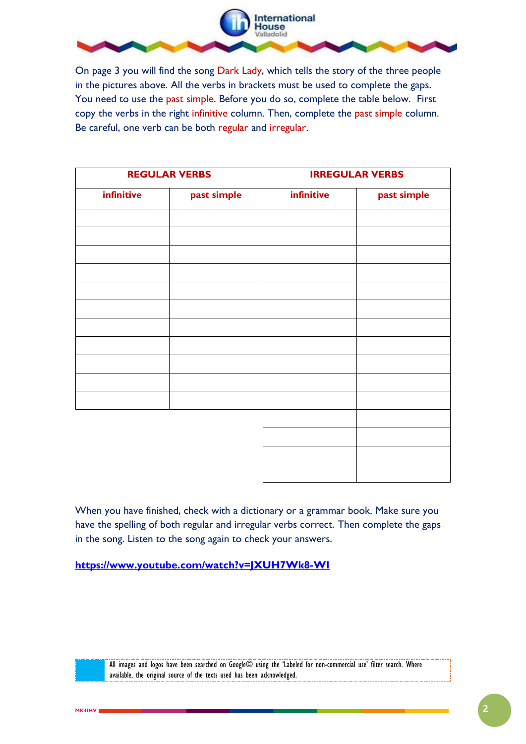

On page 3 you will find the song Dark Lady, which tells the story of the three people in the pictures above. All the verbs in brackets must be used to complete the gaps. You need to use the past simple. Before you do so, complete the table below. First copy the verbs in the right infinitive column. Then, complete the past simple column. Be careful, one verb can be both regular and irregular.

| <b>REGULAR VERBS</b> |             | <b>IRREGULAR VERBS</b> |             |
|----------------------|-------------|------------------------|-------------|
| infinitive           | past simple | infinitive             | past simple |
|                      |             |                        |             |
|                      |             |                        |             |
|                      |             |                        |             |
|                      |             |                        |             |
|                      |             |                        |             |
|                      |             |                        |             |
|                      |             |                        |             |
|                      |             |                        |             |
|                      |             |                        |             |
|                      |             |                        |             |
|                      |             |                        |             |
|                      |             |                        |             |
|                      |             |                        |             |
|                      |             |                        |             |
|                      |             |                        |             |

When you have finished, check with a dictionary or a grammar book. Make sure you have the spelling of both regular and irregular verbs correct. Then complete the gaps in the song. Listen to the song again to check your answers.

**<https://www.youtube.com/watch?v=JXUH7Wk8-WI>**

All images and logos have been searched on Google© using the 'Labeled for non-commercial use' filter search. Where available, the original source of the texts used has been acknowledged.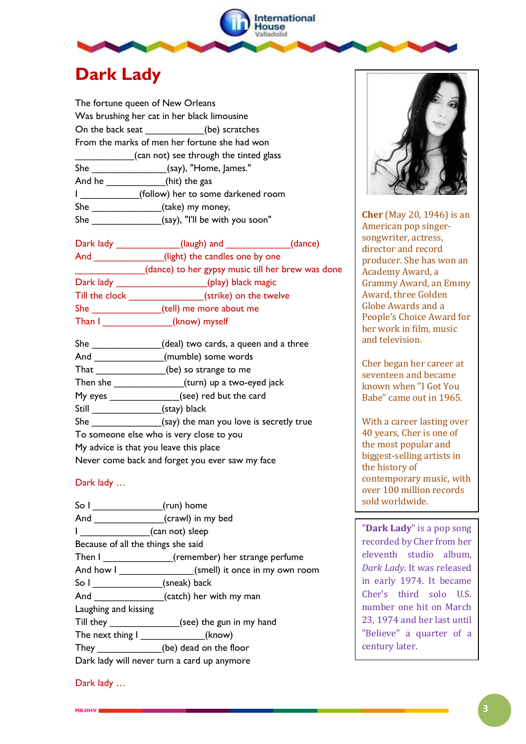

## **Dark Lady**

The fortune queen of New Orleans Was brushing her cat in her black limousine On the back seat (be) scratches From the marks of men her fortune she had won (can not) see through the tinted glass She \_\_\_\_\_\_\_\_\_\_\_\_\_\_(say), "Home, James." And he \_\_\_\_\_\_\_\_\_\_\_\_(hit) the gas I discussed (follow) her to some darkened room She  $(take)$  my money, She  $(say)$ , "I'll be with you soon"

| Dark lady      | (laugh) and                                       | (dance) |
|----------------|---------------------------------------------------|---------|
| And            | (light) the candles one by one                    |         |
|                | (dance) to her gypsy music till her brew was done |         |
| Dark lady      | (play) black magic                                |         |
| Till the clock | (strike) on the twelve                            |         |
| <b>She</b>     | (tell) me more about me                           |         |
| Than I         | (know) myself                                     |         |
|                |                                                   |         |

| She                                             | (deal) two cards, a queen and a three   |  |
|-------------------------------------------------|-----------------------------------------|--|
| And                                             | (mumble) some words                     |  |
| That                                            | (be) so strange to me                   |  |
| Then she                                        | (turn) up a two-eyed jack               |  |
| My eyes                                         | (see) red but the card                  |  |
| Still                                           | (stay) black                            |  |
|                                                 | (say) the man you love is secretly true |  |
| To someone else who is very close to you        |                                         |  |
| My advice is that you leave this place          |                                         |  |
| Never come back and forget you ever saw my face |                                         |  |

## Dark lady …

| So I (run) home                    |                                             |  |  |
|------------------------------------|---------------------------------------------|--|--|
|                                    | And (crawl) in my bed                       |  |  |
| I (can not) sleep                  |                                             |  |  |
| Because of all the things she said |                                             |  |  |
|                                    | Then I remember) her strange perfume        |  |  |
|                                    | And how I (smell) it once in my own room    |  |  |
| So I (sneak) back                  |                                             |  |  |
|                                    | And (catch) her with my man                 |  |  |
| Laughing and kissing               |                                             |  |  |
|                                    | Till they (see) the gun in my hand          |  |  |
| The next thing I (know)            |                                             |  |  |
|                                    | They (be) dead on the floor                 |  |  |
|                                    | Dark lady will never turn a card up anymore |  |  |



**Cher** (May 20, 1946) is an American pop singersongwriter, actress, director and record producer. She has won an Academy Award, a Grammy Award, an Emmy Award, three Golden Globe Awards and a People's Choice Award for her work in film, music and television.

Cher began her career at seventeen and became known when "I Got You Babe" came out in 1965.

With a career lasting over 40 years, Cher is one of the most popular and biggest-selling artists in the history of contemporary music, with over 100 million records sold worldwide.

"**Dark Lady**" is a pop song recorded by Cher from her eleventh studio album, *Dark Lady*. It was released in early 1974. It became Cher's third solo U.S. number one hit on March 23, 1974 and her last until "Believe" a quarter of a century later.

Dark lady ...